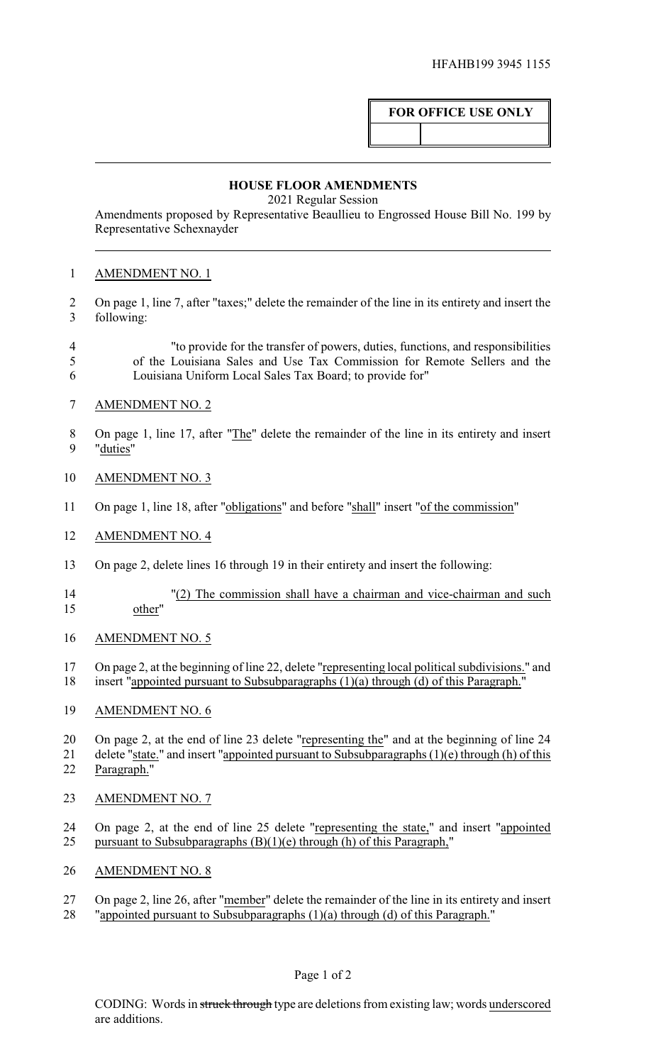## **FOR OFFICE USE ONLY**

## **HOUSE FLOOR AMENDMENTS**

2021 Regular Session

Amendments proposed by Representative Beaullieu to Engrossed House Bill No. 199 by Representative Schexnayder

## AMENDMENT NO. 1

- On page 1, line 7, after "taxes;" delete the remainder of the line in its entirety and insert the following:
- "to provide for the transfer of powers, duties, functions, and responsibilities of the Louisiana Sales and Use Tax Commission for Remote Sellers and the Louisiana Uniform Local Sales Tax Board; to provide for"
- AMENDMENT NO. 2
- 8 On page 1, line 17, after "The" delete the remainder of the line in its entirety and insert "duties"
- AMENDMENT NO. 3
- On page 1, line 18, after "obligations" and before "shall" insert "of the commission"
- AMENDMENT NO. 4
- On page 2, delete lines 16 through 19 in their entirety and insert the following:
- 14 "(2) The commission shall have a chairman and vice-chairman and such<br>15 other"
- AMENDMENT NO. 5
- On page 2, at the beginning of line 22, delete "representing local political subdivisions." and insert "appointed pursuant to Subsubparagraphs (1)(a) through (d) of this Paragraph."
- AMENDMENT NO. 6

20 On page 2, at the end of line 23 delete "representing the" and at the beginning of line 24 delete "state." and insert "appointed pursuant to Subsubparagraphs (1)(e) through (h) of this Paragraph."

- AMENDMENT NO. 7
- On page 2, at the end of line 25 delete "representing the state," and insert "appointed pursuant to Subsubparagraphs (B)(1)(e) through (h) of this Paragraph,"
- AMENDMENT NO. 8
- 27 On page 2, line 26, after "member" delete the remainder of the line in its entirety and insert
- "appointed pursuant to Subsubparagraphs (1)(a) through (d) of this Paragraph."